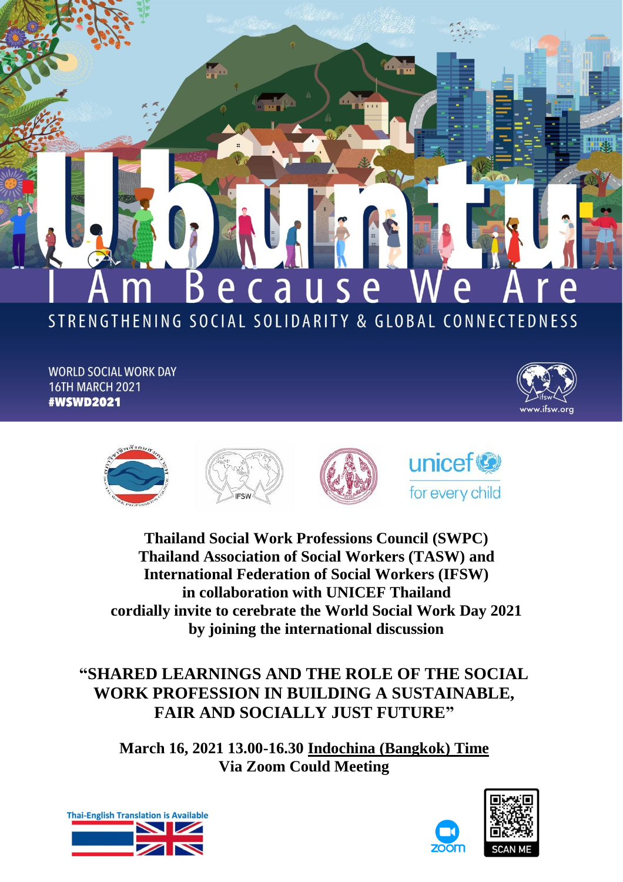# Because STRENGTHENING SOCIAL SOLIDARITY & GLOBAL CONNECTEDNESS

**The Council** 

**WORLD SOCIAL WORK DAY 16TH MARCH 2021 #WSWD2021** 





**Thailand Social Work Professions Council (SWPC) Thailand Association of Social Workers (TASW) and International Federation of Social Workers (IFSW) in collaboration with UNICEF Thailand cordially invite to cerebrate the World Social Work Day 2021 by joining the international discussion**

**"SHARED LEARNINGS AND THE ROLE OF THE SOCIAL WORK PROFESSION IN BUILDING A SUSTAINABLE, FAIR AND SOCIALLY JUST FUTURE"**

**March 16, 2021 13.00-16.30 Indochina (Bangkok) Time Via Zoom Could Meeting**